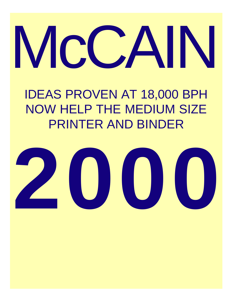# McCAIN

# IDEAS PROVEN AT 18,000 BPH NOW HELP THE MEDIUM SIZE PRINTER AND BINDER

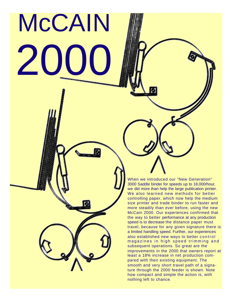# McCAIN  $\mathbf{Z}$

When we introduced our "New Generation" 3000 Saddle binder for speeds up to 18,000/hour, we did more than help the large publication printer. We also learned new methods for better controlling paper, which now help the medium size printer and trade binder to run faster and more steadily than ever before, using the new McCain 2000. Our experiences confirmed that the way to better performance at any production speed is to decrease the distance paper must travel, because for any given signature there is a limited handling speed. Further, our experiences also established new ways to better control magazines in high speed trimming and subsequent operations. So great are the improvements in the 2000 that owners report at least a 18% increase in net production compared with their existing equipment. The smooth and very short travel path of a signature through the 2000 feeder is shown. Note how compact and simple the action is, with nothing left to chance.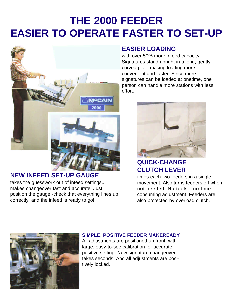# **THE 2000 FEEDER EASIER TO OPERATE FASTER TO SET-UP**



#### **NEW INFEED SET-UP GAUGE**

takes the guesswork out of infeed settings... makes changeover fast and accurate. Just position the gauge -check that everything lines up correctly, and the infeed is ready to go!

#### **EASIER LOADING**

with over 50% more infeed capacity Signatures stand upright in a long, gently curved pile - making loading more convenient and faster. Since more signatures can be loaded at onetime, one person can handle more stations with less effort.



#### **QUICK-CHANGE CLUTCH LEVER**

times each two feeders in a single movement. Also turns feeders off when not needed. No tools - no time consuming adjustment. Feeders are also protected by overload clutch.



#### **SIMPLE, POSITIVE FEEDER MAKEREADY**

All adjustments are positioned up front, with large, easy-to-see calibration for accurate, positive setting. New signature changeover takes seconds. And all adjustments are positively locked.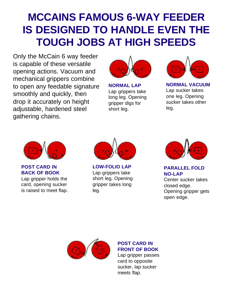## **MCCAINS FAMOUS 6-WAY FEEDER IS DESIGNED TO HANDLE EVEN THE TOUGH JOBS AT HIGH SPEEDS**

Only the McCain 6 way feeder is capable of these versatile opening actions. Vacuum and mechanical grippers combine to open any feedable signature smoothly and quickly, then drop it accurately on height adjustable, hardened steel gathering chains.



**NORMAL LAP** Lap grippers take long leg. Opening gripper digs for short leg.



**NORMAL VACUUM** Lap sucker takes one leg. Opening sucker takes other leg.



#### **POST CARD IN BACK OF BOOK**

Lap gripper holds the card, opening sucker is raised to meet flap.



**LOW-FOLIO LAP** Lap grippers take short leg. Opening gripper takes long leg.



**PARALLEL FOLD NO-LAP**

Center sucker takes closed edge. Opening gripper gets open edge.



#### **POST CARD IN FRONT OF BOOK**

Lap gripper passes card to opposite sucker, lap sucker meets flap.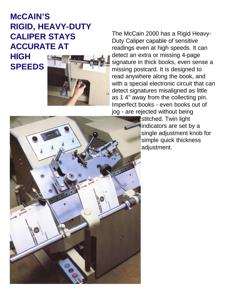### **McCAIN'S RIGID, HEAVY-DUTY CALIPER STAYS ACCURATE AT**

#### **HIGH SPEEDS**



The McCain 2000 has a Rigid Heavy-Duty Caliper capable of sensitive readings even at high speeds. It can detect an extra or missing 4-page signature in thick books, even sense a missing postcard. It is designed to read anywhere along the book, and with a special electronic circuit that can detect signatures misaligned as little as 1 4" away from the collecting pin. Imperfect books - even books out of

jog - are rejected without being stitched. Twin light indicators are set by a single adjustment knob for simple quick thickness adjustment.

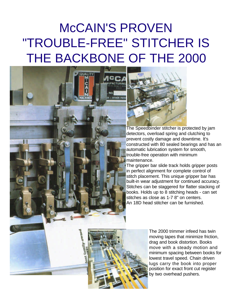# McCAIN'S PROVEN "TROUBLE-FREE" STITCHER IS THE BACKBONE OF THE 2000





The Speedbinder stitcher is protected by jam detectors, overload spring and clutching to prevent costly damage and downtime. It's constructed with 80 sealed bearings and has an automatic lubrication system for smooth, trouble-free operation with minimum maintenance.

The gripper bar slide track holds gripper posts in perfect alignment for complete control of stitch placement. This unique gripper bar has built-in wear adjustment for continued accuracy. Stitches can be staggered for flatter stacking of books. Holds up to 8 stitching heads - can set stitches as close as 1-7 8" on centers. An 18D head stitcher can be furnished.



The 2000 trimmer infeed has twin moving tapes that minimize friction, drag and book distortion. Books move with a steady motion and minimum spacing between books for lowest travel speed. Chain driven lugs carry the book into proper position for exact front cut register by two overhead pushers.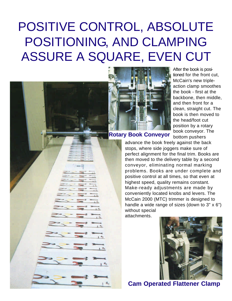# POSITIVE CONTROL, ABSOLUTE POSITIONING, AND CLAMPING ASSURE A SQUARE, EVEN CUT



After the book is positioned for the front cut, McCain's new tripleaction clamp smoothes the book - first at the backbone, then middle, and then front for a clean, straight cut. The book is then moved to the head/foot cut position by a rotary book conveyor. The bottom pushers

**Rotary Book Conveyor**

advance the book freely against the back stops, where side joggers make sure of perfect alignment for the final trim. Books are then moved to the delivery table by a second conveyor, eliminating normal marking problems. Books are under complete and positive control at all times, so that even at highest speed, quality remains constant. Make-ready adjustments are made by conveniently located knobs and levers. The McCain 2000 (MTC) trimmer is designed to handle a wide range of sizes (down to 3" x 6") without special

attachments.



**Cam Operated Flattener Clamp**